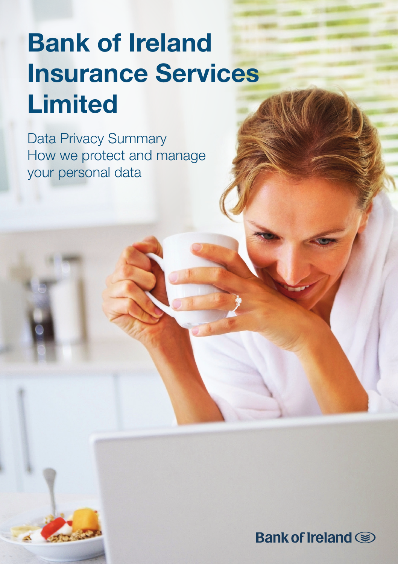# Bank of Ireland Insurance Services Limited

Data Privacy Summary How we protect and manage your personal data

Bank of Ireland (S)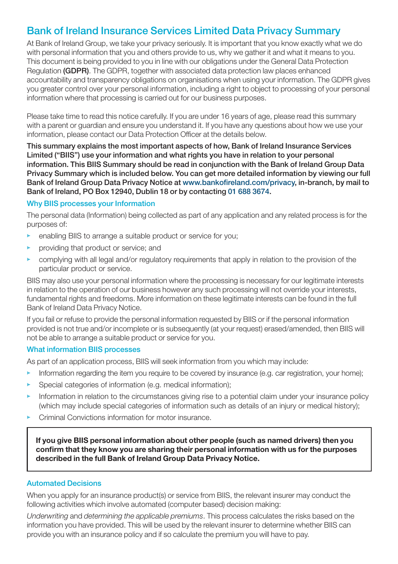## Bank of Ireland Insurance Services Limited Data Privacy Summary

At Bank of Ireland Group, we take your privacy seriously. It is important that you know exactly what we do with personal information that you and others provide to us, why we gather it and what it means to you. This document is being provided to you in line with our obligations under the General Data Protection Regulation (GDPR). The GDPR, together with associated data protection law places enhanced accountability and transparency obligations on organisations when using your information. The GDPR gives you greater control over your personal information, including a right to object to processing of your personal information where that processing is carried out for our business purposes.

Please take time to read this notice carefully. If you are under 16 years of age, please read this summary with a parent or guardian and ensure you understand it. If you have any questions about how we use your information, please contact our Data Protection Officer at the details below.

This summary explains the most important aspects of how, Bank of Ireland Insurance Services Limited ("BIIS") use your information and what rights you have in relation to your personal information. This BIIS Summary should be read in conjunction with the Bank of Ireland Group Data Privacy Summary which is included below. You can get more detailed information by viewing our full Bank of Ireland Group Data Privacy Notice at www.bankofireland.com/privacy, in-branch, by mail to Bank of Ireland, PO Box 12940, Dublin 18 or by contacting 01 688 3674.

#### Why BIIS processes your Information

The personal data (Information) being collected as part of any application and any related process is for the purposes of:

- enabling BIIS to arrange a suitable product or service for you;
- providing that product or service; and
- $\triangleright$  complying with all legal and/or regulatory requirements that apply in relation to the provision of the particular product or service.

BIIS may also use your personal information where the processing is necessary for our legitimate interests in relation to the operation of our business however any such processing will not override your interests, fundamental rights and freedoms. More information on these legitimate interests can be found in the full Bank of Ireland Data Privacy Notice.

If you fail or refuse to provide the personal information requested by BIIS or if the personal information provided is not true and/or incomplete or is subsequently (at your request) erased/amended, then BIIS will not be able to arrange a suitable product or service for you.

#### What information BIIS processes

As part of an application process, BIIS will seek information from you which may include:

- Information regarding the item you require to be covered by insurance (e.g. car registration, your home);
- Special categories of information (e.g. medical information);
- Information in relation to the circumstances giving rise to a potential claim under your insurance policy (which may include special categories of information such as details of an injury or medical history);
- Criminal Convictions information for motor insurance.

If you give BIIS personal information about other people (such as named drivers) then you confirm that they know you are sharing their personal information with us for the purposes described in the full Bank of Ireland Group Data Privacy Notice.

#### Automated Decisions

When you apply for an insurance product(s) or service from BIIS, the relevant insurer may conduct the following activities which involve automated (computer based) decision making:

*Underwriting* and *determining the applicable premiums*. This process calculates the risks based on the information you have provided. This will be used by the relevant insurer to determine whether BIIS can provide you with an insurance policy and if so calculate the premium you will have to pay.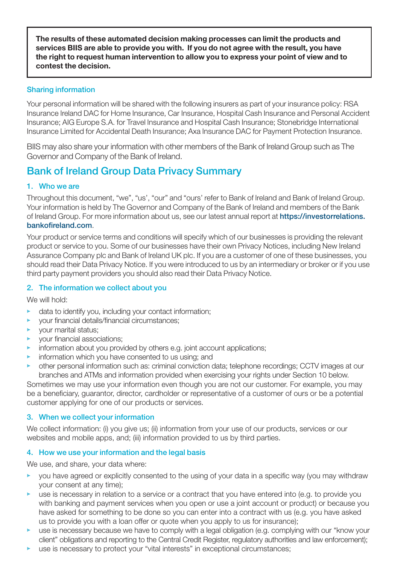The results of these automated decision making processes can limit the products and services BIIS are able to provide you with. If you do not agree with the result, you have the right to request human intervention to allow you to express your point of view and to contest the decision.

#### Sharing information

Your personal information will be shared with the following insurers as part of your insurance policy: RSA Insurance Ireland DAC for Home Insurance, Car Insurance, Hospital Cash Insurance and Personal Accident Insurance; AIG Europe S.A. for Travel Insurance and Hospital Cash Insurance; Stonebridge International Insurance Limited for Accidental Death Insurance; Axa Insurance DAC for Payment Protection Insurance.

BIIS may also share your information with other members of the Bank of Ireland Group such as The Governor and Company of the Bank of Ireland.

## Bank of Ireland Group Data Privacy Summary

#### 1. Who we are

Throughout this document, "we", "us', "our" and "ours' refer to Bank of Ireland and Bank of Ireland Group. Your information is held by The Governor and Company of the Bank of Ireland and members of the Bank of Ireland Group. For more information about us, see our latest annual report at https://investorrelations. bankofireland.com.

Your product or service terms and conditions will specify which of our businesses is providing the relevant product or service to you. Some of our businesses have their own Privacy Notices, including New Ireland Assurance Company plc and Bank of Ireland UK plc. If you are a customer of one of these businesses, you should read their Data Privacy Notice. If you were introduced to us by an intermediary or broker or if you use third party payment providers you should also read their Data Privacy Notice.

#### 2. The information we collect about you

We will hold:

- data to identify you, including your contact information;
- vour financial details/financial circumstances:
- your marital status;
- your financial associations;
- information about you provided by others e.g. joint account applications:
- information which you have consented to us using; and
- other personal information such as: criminal conviction data; telephone recordings; CCTV images at our branches and ATMs and information provided when exercising your rights under Section 10 below.

Sometimes we may use your information even though you are not our customer. For example, you may be a beneficiary, guarantor, director, cardholder or representative of a customer of ours or be a potential customer applying for one of our products or services.

#### 3. When we collect your information

We collect information: (i) you give us; (ii) information from your use of our products, services or our websites and mobile apps, and; (iii) information provided to us by third parties.

#### 4. How we use your information and the legal basis

We use, and share, your data where:

- $\blacktriangleright$  you have agreed or explicitly consented to the using of your data in a specific way (you may withdraw your consent at any time);
- use is necessary in relation to a service or a contract that you have entered into (e.g. to provide you with banking and payment services when you open or use a joint account or product) or because you have asked for something to be done so you can enter into a contract with us (e.g. you have asked us to provide you with a loan offer or quote when you apply to us for insurance);
- $\blacktriangleright$  use is necessary because we have to comply with a legal obligation (e.g. complying with our "know your client" obligations and reporting to the Central Credit Register, regulatory authorities and law enforcement);
- $\blacktriangleright$  use is necessary to protect your "vital interests" in exceptional circumstances;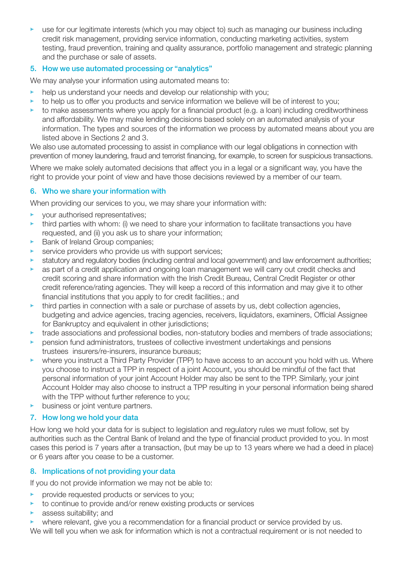• use for our legitimate interests (which you may object to) such as managing our business including credit risk management, providing service information, conducting marketing activities, system testing, fraud prevention, training and quality assurance, portfolio management and strategic planning and the purchase or sale of assets.

#### 5. How we use automated processing or "analytics"

We may analyse your information using automated means to:

- help us understand your needs and develop our relationship with you:
- to help us to offer you products and service information we believe will be of interest to you;
- to make assessments where you apply for a financial product (e.g. a loan) including creditworthiness and affordability. We may make lending decisions based solely on an automated analysis of your information. The types and sources of the information we process by automated means about you are listed above in Sections 2 and 3.

We also use automated processing to assist in compliance with our legal obligations in connection with prevention of money laundering, fraud and terrorist financing, for example, to screen for suspicious transactions.

Where we make solely automated decisions that affect you in a legal or a significant way, you have the right to provide your point of view and have those decisions reviewed by a member of our team.

#### 6. Who we share your information with

When providing our services to you, we may share your information with:

- your authorised representatives;
- third parties with whom: (i) we need to share your information to facilitate transactions you have requested, and (ii) you ask us to share your information;
- Bank of Ireland Group companies;
- service providers who provide us with support services;
- statutory and regulatory bodies (including central and local government) and law enforcement authorities;
- as part of a credit application and ongoing loan management we will carry out credit checks and credit scoring and share information with the Irish Credit Bureau, Central Credit Register or other credit reference/rating agencies. They will keep a record of this information and may give it to other financial institutions that you apply to for credit facilities.; and
- $\blacktriangleright$  third parties in connection with a sale or purchase of assets by us, debt collection agencies, budgeting and advice agencies, tracing agencies, receivers, liquidators, examiners, Official Assignee for Bankruptcy and equivalent in other jurisdictions;
- trade associations and professional bodies, non-statutory bodies and members of trade associations;
- pension fund administrators, trustees of collective investment undertakings and pensions trustees insurers/re-insurers, insurance bureaus;
- where you instruct a Third Party Provider (TPP) to have access to an account you hold with us. Where you choose to instruct a TPP in respect of a joint Account, you should be mindful of the fact that personal information of your joint Account Holder may also be sent to the TPP. Similarly, your joint Account Holder may also choose to instruct a TPP resulting in your personal information being shared with the TPP without further reference to you;
- business or joint venture partners.

#### 7. How long we hold your data

How long we hold your data for is subject to legislation and regulatory rules we must follow, set by authorities such as the Central Bank of Ireland and the type of financial product provided to you. In most cases this period is 7 years after a transaction, (but may be up to 13 years where we had a deed in place) or 6 years after you cease to be a customer.

#### 8. Implications of not providing your data

If you do not provide information we may not be able to:

- provide requested products or services to you;
- to continue to provide and/or renew existing products or services
- assess suitability; and
- where relevant, give you a recommendation for a financial product or service provided by us.
- We will tell you when we ask for information which is not a contractual requirement or is not needed to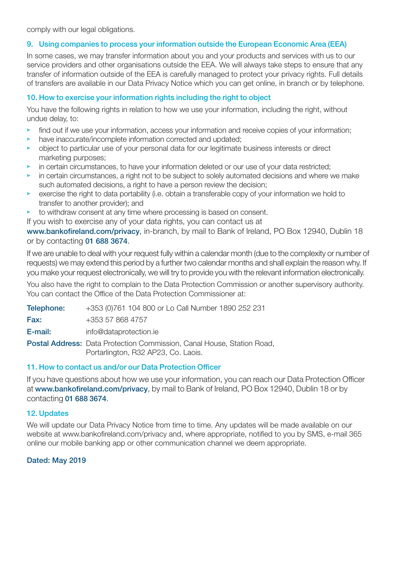comply with our legal obligations.

#### 9. Using companies to process your information outside the European Economic Area (EEA)

In some cases, we may transfer information about you and your products and services with us to our service providers and other organisations outside the EEA. We will always take steps to ensure that any transfer of information outside of the EEA is carefully managed to protect your privacy rights. Full details of transfers are available in our Data Privacy Notice which you can get online, in branch or by telephone.

#### 10. How to exercise your information rights including the right to object

You have the following rights in relation to how we use your information, including the right, without undue delay, to:

- find out if we use your information, access your information and receive copies of your information;
- have inaccurate/incomplete information corrected and updated;
- object to particular use of your personal data for our legitimate business interests or direct marketing purposes;
- $\blacktriangleright$  in certain circumstances, to have your information deleted or our use of your data restricted;
- in certain circumstances, a right not to be subject to solely automated decisions and where we make such automated decisions, a right to have a person review the decision;
- $\blacktriangleright$  exercise the right to data portability (i.e. obtain a transferable copy of your information we hold to transfer to another provider); and
- to withdraw consent at any time where processing is based on consent.
- If you wish to exercise any of your data rights, you can contact us at

www.bankofireland.com/privacy, in-branch, by mail to Bank of Ireland, PO Box 12940, Dublin 18 or by contacting 01 688 3674.

If we are unable to deal with your request fully within a calendar month (due to the complexity or number of requests) we may extend this period by a further two calendar months and shall explain the reason why. If you make your request electronically, we will try to provide you with the relevant information electronically.

You also have the right to complain to the Data Protection Commission or another supervisory authority. You can contact the Office of the Data Protection Commissioner at:

| Telephone: | +353 (0)761 104 800 or Lo Call Number 1890 252 231                                                                   |
|------------|----------------------------------------------------------------------------------------------------------------------|
| Fax:       | +353 57 868 4757                                                                                                     |
| E-mail:    | info@dataprotection.ie                                                                                               |
|            | <b>Postal Address:</b> Data Protection Commission, Canal House, Station Road,<br>Portarlington, R32 AP23, Co. Laois. |

#### 11. How to contact us and/or our Data Protection Officer

If you have questions about how we use your information, you can reach our Data Protection Officer at www.bankofireland.com/privacy, by mail to Bank of Ireland, PO Box 12940, Dublin 18 or by contacting 01 688 3674.

#### 12. Updates

We will update our Data Privacy Notice from time to time. Any updates will be made available on our website at www.bankofireland.com/privacy and, where appropriate, notified to you by SMS, e-mail 365 online our mobile banking app or other communication channel we deem appropriate.

#### Dated: May 2019